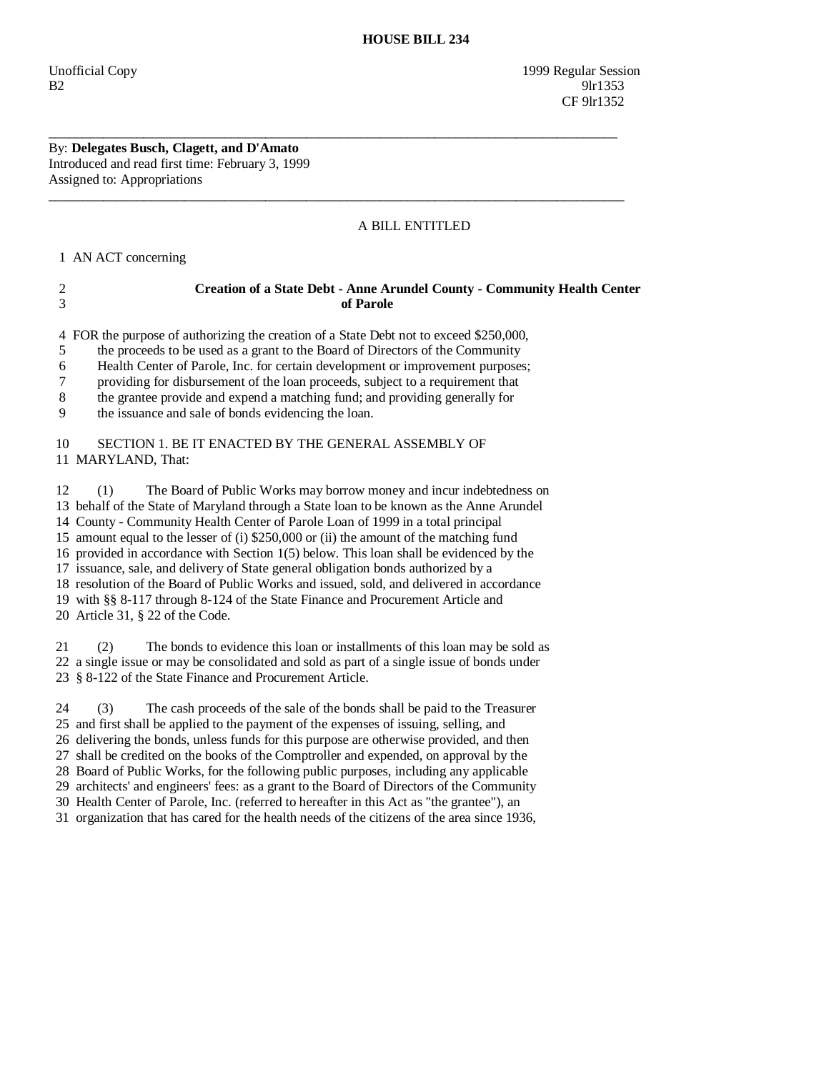Unofficial Copy 1999 Regular Session  $B2$  9lr1353 CF 9lr1352

### By: **Delegates Busch, Clagett, and D'Amato**  Introduced and read first time: February 3, 1999 Assigned to: Appropriations

# A BILL ENTITLED

1 AN ACT concerning

## 2 **Creation of a State Debt - Anne Arundel County - Community Health Center**  3 **of Parole**

4 FOR the purpose of authorizing the creation of a State Debt not to exceed \$250,000,

\_\_\_\_\_\_\_\_\_\_\_\_\_\_\_\_\_\_\_\_\_\_\_\_\_\_\_\_\_\_\_\_\_\_\_\_\_\_\_\_\_\_\_\_\_\_\_\_\_\_\_\_\_\_\_\_\_\_\_\_\_\_\_\_\_\_\_\_\_\_\_\_\_\_\_\_\_\_\_\_\_\_\_\_

 $\overline{\phantom{a}}$  ,  $\overline{\phantom{a}}$  ,  $\overline{\phantom{a}}$  ,  $\overline{\phantom{a}}$  ,  $\overline{\phantom{a}}$  ,  $\overline{\phantom{a}}$  ,  $\overline{\phantom{a}}$  ,  $\overline{\phantom{a}}$  ,  $\overline{\phantom{a}}$  ,  $\overline{\phantom{a}}$  ,  $\overline{\phantom{a}}$  ,  $\overline{\phantom{a}}$  ,  $\overline{\phantom{a}}$  ,  $\overline{\phantom{a}}$  ,  $\overline{\phantom{a}}$  ,  $\overline{\phantom{a}}$ 

5 the proceeds to be used as a grant to the Board of Directors of the Community

6 Health Center of Parole, Inc. for certain development or improvement purposes;

7 providing for disbursement of the loan proceeds, subject to a requirement that

8 the grantee provide and expend a matching fund; and providing generally for

9 the issuance and sale of bonds evidencing the loan.

## 10 SECTION 1. BE IT ENACTED BY THE GENERAL ASSEMBLY OF 11 MARYLAND, That:

 12 (1) The Board of Public Works may borrow money and incur indebtedness on 13 behalf of the State of Maryland through a State loan to be known as the Anne Arundel 14 County - Community Health Center of Parole Loan of 1999 in a total principal 15 amount equal to the lesser of (i) \$250,000 or (ii) the amount of the matching fund 16 provided in accordance with Section 1(5) below. This loan shall be evidenced by the 17 issuance, sale, and delivery of State general obligation bonds authorized by a 18 resolution of the Board of Public Works and issued, sold, and delivered in accordance 19 with §§ 8-117 through 8-124 of the State Finance and Procurement Article and 20 Article 31, § 22 of the Code.

 21 (2) The bonds to evidence this loan or installments of this loan may be sold as 22 a single issue or may be consolidated and sold as part of a single issue of bonds under 23 § 8-122 of the State Finance and Procurement Article.

 24 (3) The cash proceeds of the sale of the bonds shall be paid to the Treasurer 25 and first shall be applied to the payment of the expenses of issuing, selling, and 26 delivering the bonds, unless funds for this purpose are otherwise provided, and then 27 shall be credited on the books of the Comptroller and expended, on approval by the 28 Board of Public Works, for the following public purposes, including any applicable 29 architects' and engineers' fees: as a grant to the Board of Directors of the Community 30 Health Center of Parole, Inc. (referred to hereafter in this Act as "the grantee"), an 31 organization that has cared for the health needs of the citizens of the area since 1936,